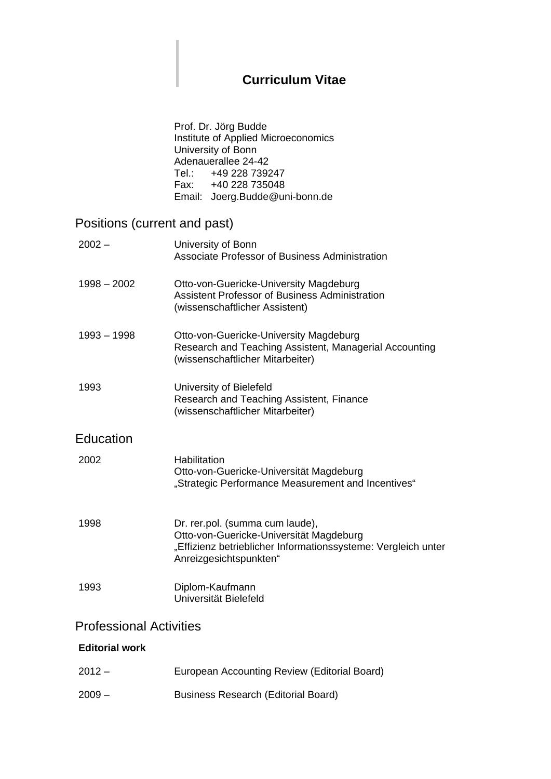## **Curriculum Vitae**

Prof. Dr. Jörg Budde Institute of Applied Microeconomics University of Bonn Adenauerallee 24-42 Tel.: +49 228 739247 Fax: +40 228 735048 Email: Joerg.Budde@uni-bonn.de

## Positions (current and past)

| $2002 -$                       | University of Bonn<br>Associate Professor of Business Administration                                                                                                  |  |
|--------------------------------|-----------------------------------------------------------------------------------------------------------------------------------------------------------------------|--|
| $1998 - 2002$                  | Otto-von-Guericke-University Magdeburg<br>Assistent Professor of Business Administration<br>(wissenschaftlicher Assistent)                                            |  |
| $1993 - 1998$                  | Otto-von-Guericke-University Magdeburg<br>Research and Teaching Assistent, Managerial Accounting<br>(wissenschaftlicher Mitarbeiter)                                  |  |
| 1993                           | University of Bielefeld<br>Research and Teaching Assistent, Finance<br>(wissenschaftlicher Mitarbeiter)                                                               |  |
| Education                      |                                                                                                                                                                       |  |
| 2002                           | Habilitation<br>Otto-von-Guericke-Universität Magdeburg<br>"Strategic Performance Measurement and Incentives"                                                         |  |
| 1998                           | Dr. rer.pol. (summa cum laude),<br>Otto-von-Guericke-Universität Magdeburg<br>"Effizienz betrieblicher Informationssysteme: Vergleich unter<br>Anreizgesichtspunkten" |  |
| 1993                           | Diplom-Kaufmann<br>Universität Bielefeld                                                                                                                              |  |
| <b>Professional Activities</b> |                                                                                                                                                                       |  |
| <b>Editorial work</b>          |                                                                                                                                                                       |  |
| $2012 -$                       | European Accounting Review (Editorial Board)                                                                                                                          |  |

2009 – Business Research (Editorial Board)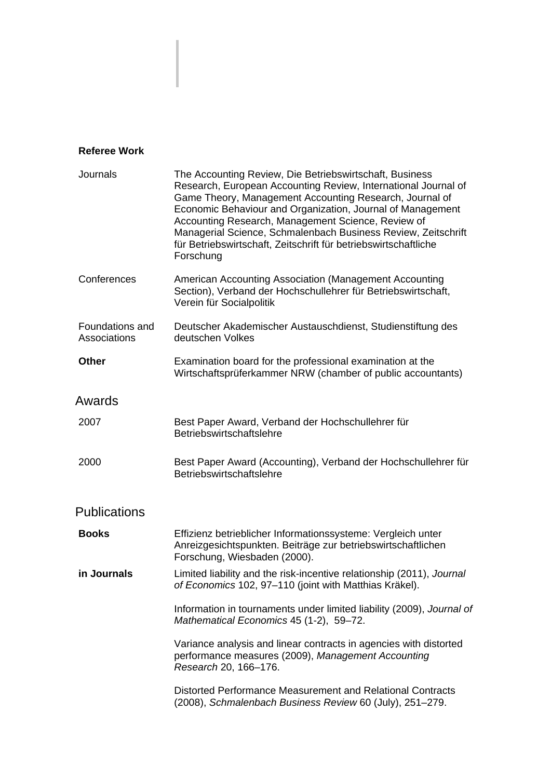## **Referee Work**

| Journals                        | The Accounting Review, Die Betriebswirtschaft, Business<br>Research, European Accounting Review, International Journal of<br>Game Theory, Management Accounting Research, Journal of<br>Economic Behaviour and Organization, Journal of Management<br>Accounting Research, Management Science, Review of<br>Managerial Science, Schmalenbach Business Review, Zeitschrift<br>für Betriebswirtschaft, Zeitschrift für betriebswirtschaftliche<br>Forschung |
|---------------------------------|-----------------------------------------------------------------------------------------------------------------------------------------------------------------------------------------------------------------------------------------------------------------------------------------------------------------------------------------------------------------------------------------------------------------------------------------------------------|
| Conferences                     | American Accounting Association (Management Accounting<br>Section), Verband der Hochschullehrer für Betriebswirtschaft,<br>Verein für Socialpolitik                                                                                                                                                                                                                                                                                                       |
| Foundations and<br>Associations | Deutscher Akademischer Austauschdienst, Studienstiftung des<br>deutschen Volkes                                                                                                                                                                                                                                                                                                                                                                           |
| <b>Other</b>                    | Examination board for the professional examination at the<br>Wirtschaftsprüferkammer NRW (chamber of public accountants)                                                                                                                                                                                                                                                                                                                                  |
| Awards                          |                                                                                                                                                                                                                                                                                                                                                                                                                                                           |
| 2007                            | Best Paper Award, Verband der Hochschullehrer für<br>Betriebswirtschaftslehre                                                                                                                                                                                                                                                                                                                                                                             |
| 2000                            | Best Paper Award (Accounting), Verband der Hochschullehrer für<br>Betriebswirtschaftslehre                                                                                                                                                                                                                                                                                                                                                                |
| <b>Publications</b>             |                                                                                                                                                                                                                                                                                                                                                                                                                                                           |
| <b>Books</b>                    | Effizienz betrieblicher Informationssysteme: Vergleich unter<br>Anreizgesichtspunkten. Beiträge zur betriebswirtschaftlichen<br>Forschung, Wiesbaden (2000).                                                                                                                                                                                                                                                                                              |
| in Journals                     | Limited liability and the risk-incentive relationship (2011), Journal<br>of Economics 102, 97-110 (joint with Matthias Kräkel).                                                                                                                                                                                                                                                                                                                           |
|                                 | Information in tournaments under limited liability (2009), Journal of<br>Mathematical Economics 45 (1-2), 59-72.                                                                                                                                                                                                                                                                                                                                          |
|                                 | Variance analysis and linear contracts in agencies with distorted<br>performance measures (2009), Management Accounting<br>Research 20, 166-176.                                                                                                                                                                                                                                                                                                          |
|                                 | Distorted Performance Measurement and Relational Contracts<br>(2008), Schmalenbach Business Review 60 (July), 251-279.                                                                                                                                                                                                                                                                                                                                    |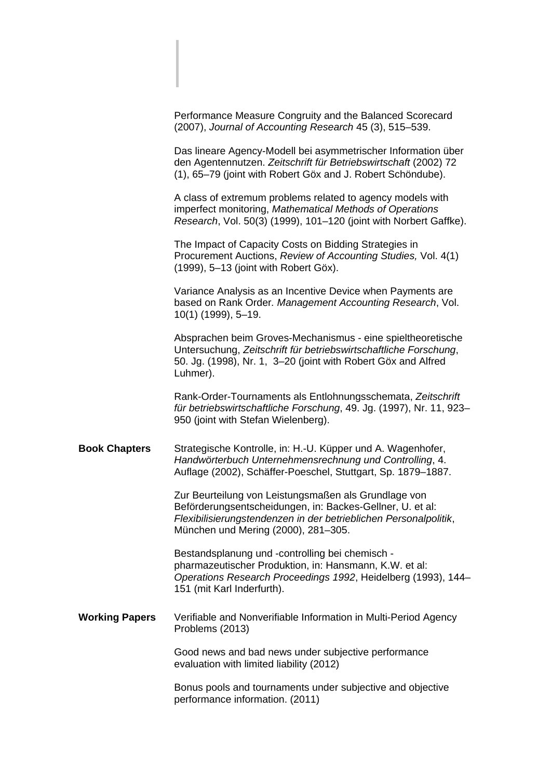|                       | Performance Measure Congruity and the Balanced Scorecard<br>(2007), Journal of Accounting Research 45 (3), 515-539.                                                                                                          |
|-----------------------|------------------------------------------------------------------------------------------------------------------------------------------------------------------------------------------------------------------------------|
|                       | Das lineare Agency-Modell bei asymmetrischer Information über<br>den Agentennutzen. Zeitschrift für Betriebswirtschaft (2002) 72<br>(1), 65-79 (joint with Robert Göx and J. Robert Schöndube).                              |
|                       | A class of extremum problems related to agency models with<br>imperfect monitoring, Mathematical Methods of Operations<br>Research, Vol. 50(3) (1999), 101-120 (joint with Norbert Gaffke).                                  |
|                       | The Impact of Capacity Costs on Bidding Strategies in<br>Procurement Auctions, Review of Accounting Studies, Vol. 4(1)<br>(1999), 5-13 (joint with Robert Göx).                                                              |
|                       | Variance Analysis as an Incentive Device when Payments are<br>based on Rank Order. Management Accounting Research, Vol.<br>$10(1)$ (1999), 5-19.                                                                             |
|                       | Absprachen beim Groves-Mechanismus - eine spieltheoretische<br>Untersuchung, Zeitschrift für betriebswirtschaftliche Forschung,<br>50. Jg. (1998), Nr. 1, 3-20 (joint with Robert Göx and Alfred<br>Luhmer).                 |
|                       | Rank-Order-Tournaments als Entlohnungsschemata, Zeitschrift<br>für betriebswirtschaftliche Forschung, 49. Jg. (1997), Nr. 11, 923-<br>950 (joint with Stefan Wielenberg).                                                    |
| <b>Book Chapters</b>  | Strategische Kontrolle, in: H.-U. Küpper und A. Wagenhofer,<br>Handwörterbuch Unternehmensrechnung und Controlling, 4.<br>Auflage (2002), Schäffer-Poeschel, Stuttgart, Sp. 1879-1887.                                       |
|                       | Zur Beurteilung von Leistungsmaßen als Grundlage von<br>Beförderungsentscheidungen, in: Backes-Gellner, U. et al:<br>Flexibilisierungstendenzen in der betrieblichen Personalpolitik,<br>München und Mering (2000), 281-305. |
|                       | Bestandsplanung und -controlling bei chemisch -<br>pharmazeutischer Produktion, in: Hansmann, K.W. et al:<br>Operations Research Proceedings 1992, Heidelberg (1993), 144-<br>151 (mit Karl Inderfurth).                     |
| <b>Working Papers</b> | Verifiable and Nonverifiable Information in Multi-Period Agency<br>Problems (2013)                                                                                                                                           |
|                       | Good news and bad news under subjective performance<br>evaluation with limited liability (2012)                                                                                                                              |
|                       | Bonus pools and tournaments under subjective and objective<br>performance information. (2011)                                                                                                                                |